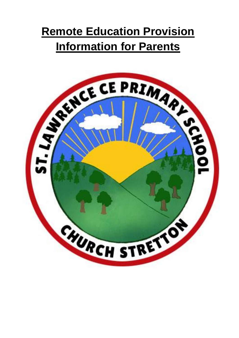# **Remote Education Provision Information for Parents**

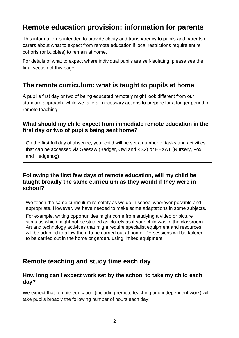# **Remote education provision: information for parents**

This information is intended to provide clarity and transparency to pupils and parents or carers about what to expect from remote education if local restrictions require entire cohorts (or bubbles) to remain at home.

For details of what to expect where individual pupils are self-isolating, please see the final section of this page.

## **The remote curriculum: what is taught to pupils at home**

A pupil's first day or two of being educated remotely might look different from our standard approach, while we take all necessary actions to prepare for a longer period of remote teaching.

#### **What should my child expect from immediate remote education in the first day or two of pupils being sent home?**

On the first full day of absence, your child will be set a number of tasks and activities that can be accessed via Seesaw (Badger, Owl and KS2) or EEXAT (Nursery, Fox and Hedgehog)

#### **Following the first few days of remote education, will my child be taught broadly the same curriculum as they would if they were in school?**

We teach the same curriculum remotely as we do in school wherever possible and appropriate. However, we have needed to make some adaptations in some subjects.

For example, writing opportunities might come from studying a video or picture stimulus which might not be studied as closely as if your child was in the classroom. Art and technology activities that might require specialist equipment and resources will be adapted to allow them to be carried out at home. PE sessions will be tailored to be carried out in the home or garden, using limited equipment.

## **Remote teaching and study time each day**

#### **How long can I expect work set by the school to take my child each day?**

We expect that remote education (including remote teaching and independent work) will take pupils broadly the following number of hours each day: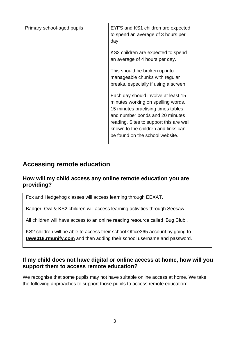| Primary school-aged pupils | EYFS and KS1 children are expected<br>to spend an average of 3 hours per<br>day.                                                                                                                                                                                        |
|----------------------------|-------------------------------------------------------------------------------------------------------------------------------------------------------------------------------------------------------------------------------------------------------------------------|
|                            | KS2 children are expected to spend<br>an average of 4 hours per day.                                                                                                                                                                                                    |
|                            | This should be broken up into<br>manageable chunks with regular<br>breaks, especially if using a screen.                                                                                                                                                                |
|                            | Each day should involve at least 15<br>minutes working on spelling words,<br>15 minutes practising times tables<br>and number bonds and 20 minutes<br>reading. Sites to support this are well<br>known to the children and links can<br>be found on the school website. |

## **Accessing remote education**

#### **How will my child access any online remote education you are providing?**

Fox and Hedgehog classes will access learning through EEXAT.

Badger, Owl & KS2 children will access learning activities through Seesaw.

All children will have access to an online reading resource called 'Bug Club'.

KS2 children will be able to access their school Office365 account by going to **tawe018.rmunify.com** and then adding their school username and password.

#### **If my child does not have digital or online access at home, how will you support them to access remote education?**

We recognise that some pupils may not have suitable online access at home. We take the following approaches to support those pupils to access remote education: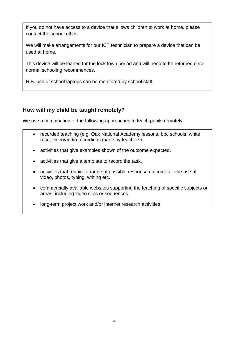If you do not have access to a device that allows children to work at home, please contact the school office.

We will make arrangements for our ICT technician to prepare a device that can be used at home.

This device will be loaned for the lockdown period and will need to be returned once normal schooling recommences.

N.B. use of school laptops can be monitored by school staff.

#### **How will my child be taught remotely?**

We use a combination of the following approaches to teach pupils remotely:

- recorded teaching (e.g. Oak National Academy lessons, bbc schools, white rose, video/audio recordings made by teachers).
- activities that give examples shown of the outcome expected.
- activities that give a template to record the task.
- activities that require a range of possible response outcomes the use of video, photos, typing, writing etc.
- commercially available websites supporting the teaching of specific subjects or areas, including video clips or sequences.
- long-term project work and/or internet research activities.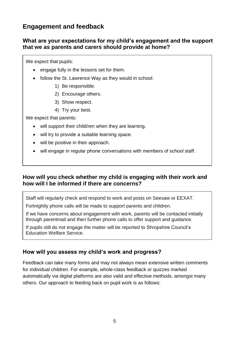## **Engagement and feedback**

#### **What are your expectations for my child's engagement and the support that we as parents and carers should provide at home?**

We expect that pupils:

- engage fully in the lessons set for them.
- follow the St. Lawrence Way as they would in school:
	- 1) Be responsible.
	- 2) Encourage others.
	- 3) Show respect.
	- 4) Try your best.

We expect that parents:

- will support their child/ren when they are learning.
- will try to provide a suitable learning space.
- will be positive in their approach.
- will engage in regular phone conversations with members of school staff.

#### **How will you check whether my child is engaging with their work and how will I be informed if there are concerns?**

Staff will regularly check and respond to work and posts on Seesaw or EEXAT.

Fortnightly phone calls will be made to support parents and children.

If we have concerns about engagement with work, parents will be contacted initially through parentmail and then further phone calls to offer support and guidance.

If pupils still do not engage the matter will be reported to Shropshire Council's Education Welfare Service.

#### **How will you assess my child's work and progress?**

Feedback can take many forms and may not always mean extensive written comments for individual children. For example, whole-class feedback or quizzes marked automatically via digital platforms are also valid and effective methods, amongst many others. Our approach to feeding back on pupil work is as follows: